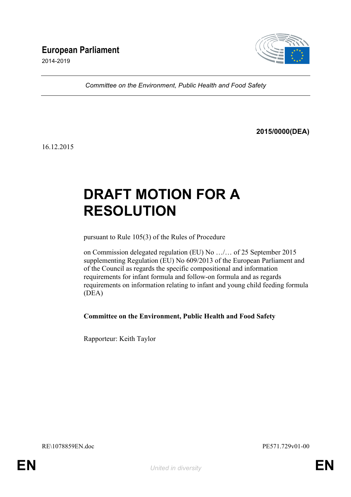# **European Parliament**

2014-2019



*Committee on the Environment, Public Health and Food Safety*

**2015/0000(DEA)**

16.12.2015

# **DRAFT MOTION FOR A RESOLUTION**

pursuant to Rule 105(3) of the Rules of Procedure

on Commission delegated regulation (EU) No …/… of 25 September 2015 supplementing Regulation (EU) No 609/2013 of the European Parliament and of the Council as regards the specific compositional and information requirements for infant formula and follow-on formula and as regards requirements on information relating to infant and young child feeding formula (DEA)

**Committee on the Environment, Public Health and Food Safety**

Rapporteur: Keith Taylor

RE\1078859EN.doc PE571.729v01-00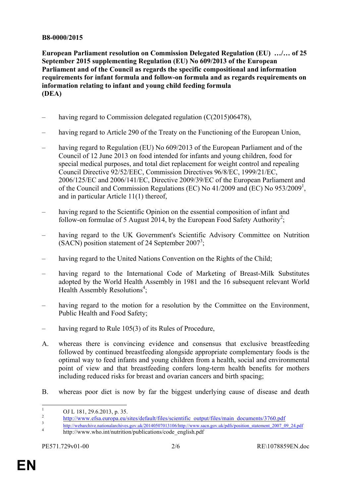# **B8-0000/2015**

**European Parliament resolution on Commission Delegated Regulation (EU) …/… of 25 September 2015 supplementing Regulation (EU) No 609/2013 of the European Parliament and of the Council as regards the specific compositional and information requirements for infant formula and follow-on formula and as regards requirements on information relating to infant and young child feeding formula (DEA)**

- having regard to Commission delegated regulation  $(C(2015)06478)$ ,
- having regard to Article 290 of the Treaty on the Functioning of the European Union,
- having regard to Regulation (EU) No  $609/2013$  of the European Parliament and of the Council of 12 June 2013 on food intended for infants and young children, food for special medical purposes, and total diet replacement for weight control and repealing Council Directive 92/52/EEC, Commission Directives 96/8/EC, 1999/21/EC, 2006/125/EC and 2006/141/EC, Directive 2009/39/EC of the European Parliament and of the Council and Commission Regulations (EC) No 41/2009 and (EC) No 953/2009<sup>1</sup>, and in particular Article 11(1) thereof,
- having regard to the Scientific Opinion on the essential composition of infant and follow-on formulae of 5 August 2014, by the European Food Safety Authority<sup>2</sup>;
- having regard to the UK Government's Scientific Advisory Committee on Nutrition (SACN) position statement of 24 September 2007<sup>3</sup>;
- having regard to the United Nations Convention on the Rights of the Child:
- having regard to the International Code of Marketing of Breast-Milk Substitutes adopted by the World Health Assembly in 1981 and the 16 subsequent relevant World Health Assembly Resolutions<sup>4</sup>;
- having regard to the motion for a resolution by the Committee on the Environment, Public Health and Food Safety;
- having regard to Rule 105(3) of its Rules of Procedure,
- A. whereas there is convincing evidence and consensus that exclusive breastfeeding followed by continued breastfeeding alongside appropriate complementary foods is the optimal way to feed infants and young children from a health, social and environmental point of view and that breastfeeding confers long-term health benefits for mothers including reduced risks for breast and ovarian cancers and birth spacing;
- B. whereas poor diet is now by far the biggest underlying cause of disease and death

<sup>&</sup>lt;sup>1</sup><br>
OJ L 181, 29.6.2013, p. 35.<br>
http://www.efsa.europa.eu/sites/default/files/scientific\_output/files/main\_documents/3760.pdf<br>
http://webarchive.nationalarchives.gov.uk/20140507013106/http://www.sacn.gov.uk/pdfs/position

http://www.who.int/nutrition/publications/code\_english.pdf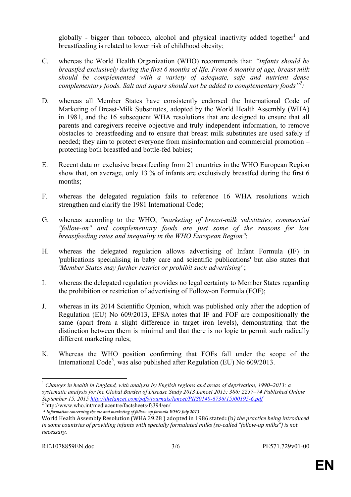globally - bigger than tobacco, alcohol and physical inactivity added together<sup>1</sup> and breastfeeding is related to lower risk of childhood obesity;

- C. whereas the World Health Organization (WHO) recommends that: *"infants should be breastfed exclusively during the first 6 months of life. From 6 months of age, breast milk should be complemented with a variety of adequate, safe and nutrient dense complementary foods. Salt and sugars should not be added to complementary foods"<sup>2</sup> :*
- D. whereas all Member States have consistently endorsed the International Code of Marketing of Breast-Milk Substitutes, adopted by the World Health Assembly (WHA) in 1981, and the 16 subsequent WHA resolutions that are designed to ensure that all parents and caregivers receive objective and truly independent information, to remove obstacles to breastfeeding and to ensure that breast milk substitutes are used safely if needed; they aim to protect everyone from misinformation and commercial promotion – protecting both breastfed and bottle-fed babies;
- E. Recent data on exclusive breastfeeding from 21 countries in the WHO European Region show that, on average, only 13 % of infants are exclusively breastfed during the first 6 months;
- F. whereas the delegated regulation fails to reference 16 WHA resolutions which strengthen and clarify the 1981 International Code;
- G. whereas according to the WHO, *"marketing of breast-milk substitutes, commercial "follow-on" and complementary foods are just some of the reasons for low breastfeeding rates and inequality in the WHO European Region"*;
- H. whereas the delegated regulation allows advertising of Infant Formula (IF) in 'publications specialising in baby care and scientific publications' but also states that *'Member States may further restrict or prohibit such advertising'* ;
- I. whereas the delegated regulation provides no legal certainty to Member States regarding the prohibition or restriction of advertising of Follow-on Formula (FOF);
- J. whereas in its 2014 Scientific Opinion, which was published only after the adoption of Regulation (EU) No 609/2013, EFSA notes that IF and FOF are compositionally the same (apart from a slight difference in target iron levels), demonstrating that the distinction between them is minimal and that there is no logic to permit such radically different marketing rules;
- K. Whereas the WHO position confirming that FOFs fall under the scope of the International Code<sup>3</sup>, was also published after Regulation (EU) No 609/2013.

 <sup>1</sup> *Changes in health in England, with analysis by English regions and areas of deprivation, 1990–2013: a systematic analysis for the Global Burden of Disease Study 2013 Lancet 2015; 386: 2257–74 Published Online September 15, 2015 http://thelancet.com/pdfs/journals/lancet/PIIS0140-6736(15)00195-6.pdf* <sup>2</sup> http://www.who.int/mediacentre/factsheets/fs394/en/

*<sup>3</sup> Information concerning the use and marketing of follow-up formula WHO July 2013*

World Health Assembly Resolution (WHA 39.28) adopted in 1986 stated: (b) the practice being introduced *in some countries of providing infants with specially formulated milks (so-called "follow-up milks")* is not *necessary.*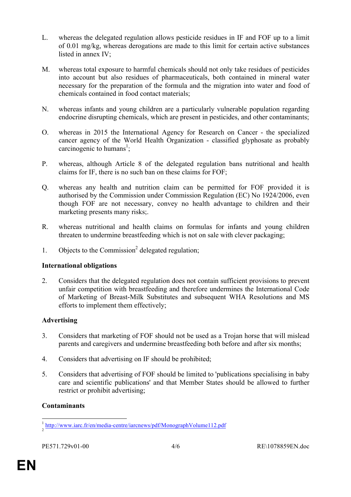- L. whereas the delegated regulation allows pesticide residues in IF and FOF up to a limit of 0.01 mg/kg, whereas derogations are made to this limit for certain active substances listed in annex IV;
- M. whereas total exposure to harmful chemicals should not only take residues of pesticides into account but also residues of pharmaceuticals, both contained in mineral water necessary for the preparation of the formula and the migration into water and food of chemicals contained in food contact materials;
- N. whereas infants and young children are a particularly vulnerable population regarding endocrine disrupting chemicals, which are present in pesticides, and other contaminants;
- O. whereas in 2015 the International Agency for Research on Cancer the specialized cancer agency of the World Health Organization - classified glyphosate as probably carcinogenic to humans<sup>1</sup>;
- P. whereas, although Article 8 of the delegated regulation bans nutritional and health claims for IF, there is no such ban on these claims for FOF;
- Q. whereas any health and nutrition claim can be permitted for FOF provided it is authorised by the Commission under Commission Regulation (EC) No 1924/2006, even though FOF are not necessary, convey no health advantage to children and their marketing presents many risks;.
- R. whereas nutritional and health claims on formulas for infants and young children threaten to undermine breastfeeding which is not on sale with clever packaging;
- 1. Objects to the Commission <sup>2</sup> delegated regulation;

# **International obligations**

2. Considers that the delegated regulation does not contain sufficient provisions to prevent unfair competition with breastfeeding and therefore undermines the International Code of Marketing of Breast-Milk Substitutes and subsequent WHA Resolutions and MS efforts to implement them effectively;

# **Advertising**

- 3. Considers that marketing of FOF should not be used as a Trojan horse that will mislead parents and caregivers and undermine breastfeeding both before and after six months;
- 4. Considers that advertising on IF should be prohibited;
- 5. Considers that advertising of FOF should be limited to 'publications specialising in baby care and scientific publications' and that Member States should be allowed to further restrict or prohibit advertising;

# **Contaminants**

<sup>&</sup>lt;sup>1</sup> http://www.iarc.fr/en/media-centre/iarcnews/pdf/MonographVolume112.pdf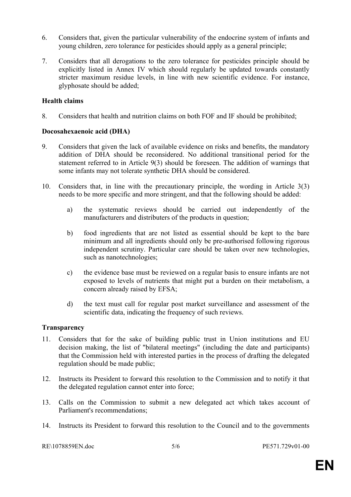- 6. Considers that, given the particular vulnerability of the endocrine system of infants and young children, zero tolerance for pesticides should apply as a general principle;
- 7. Considers that all derogations to the zero tolerance for pesticides principle should be explicitly listed in Annex IV which should regularly be updated towards constantly stricter maximum residue levels, in line with new scientific evidence. For instance, glyphosate should be added;

# **Health claims**

8. Considers that health and nutrition claims on both FOF and IF should be prohibited;

# **Docosahexaenoic acid (DHA)**

- 9. Considers that given the lack of available evidence on risks and benefits, the mandatory addition of DHA should be reconsidered. No additional transitional period for the statement referred to in Article 9(3) should be foreseen. The addition of warnings that some infants may not tolerate synthetic DHA should be considered.
- 10. Considers that, in line with the precautionary principle, the wording in Article 3(3) needs to be more specific and more stringent, and that the following should be added:
	- a) the systematic reviews should be carried out independently of the manufacturers and distributers of the products in question;
	- b) food ingredients that are not listed as essential should be kept to the bare minimum and all ingredients should only be pre-authorised following rigorous independent scrutiny. Particular care should be taken over new technologies, such as nanotechnologies;
	- c) the evidence base must be reviewed on a regular basis to ensure infants are not exposed to levels of nutrients that might put a burden on their metabolism, a concern already raised by EFSA;
	- d) the text must call for regular post market surveillance and assessment of the scientific data, indicating the frequency of such reviews.

# **Transparency**

- 11. Considers that for the sake of building public trust in Union institutions and EU decision making, the list of "bilateral meetings" (including the date and participants) that the Commission held with interested parties in the process of drafting the delegated regulation should be made public;
- 12. Instructs its President to forward this resolution to the Commission and to notify it that the delegated regulation cannot enter into force;
- 13. Calls on the Commission to submit a new delegated act which takes account of Parliament's recommendations;
- 14. Instructs its President to forward this resolution to the Council and to the governments